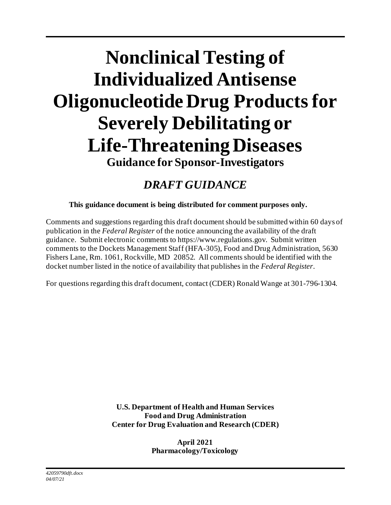# **Nonclinical Testing of Individualized Antisense Oligonucleotide Drug Productsfor Severely Debilitating or Life-Threatening Diseases Guidance for Sponsor-Investigators**

# *DRAFT GUIDANCE*

**This guidance document is being distributed for comment purposes only.**

Comments and suggestions regarding this draft document should be submitted within 60 days of publication in the *Federal Register* of the notice announcing the availability of the draft guidance. Submit electronic comments t[o https://www.regulations.gov](https://www.regulations.gov/). Submit written comments to the Dockets Management Staff (HFA-305), Food and Drug Administration, 5630 Fishers Lane, Rm. 1061, Rockville, MD 20852. All comments should be identified with the docket number listed in the notice of availability that publishes in the *Federal Register*.

For questions regarding this draft document, contact (CDER) Ronald Wange at 301-796-1304.

**U.S. Department of Health and Human Services Food and Drug Administration Center for Drug Evaluation and Research (CDER)**

> **April 2021 Pharmacology/Toxicology**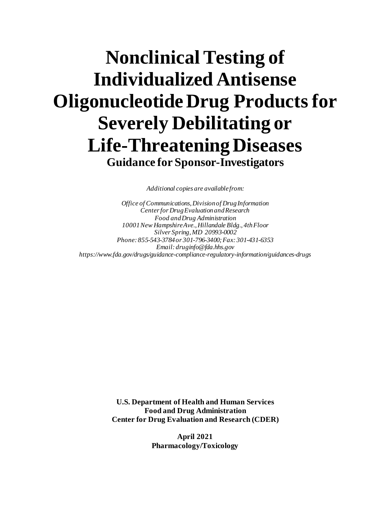# **Nonclinical Testing of Individualized Antisense Oligonucleotide Drug Productsfor Severely Debilitating or Life-Threatening Diseases Guidance for Sponsor-Investigators**

*Additional copies are available from:*

*Office of Communications, Division of Drug Information Center for Drug Evaluation and Research Food and Drug Administration 10001 New Hampshire Ave., Hillandale Bldg., 4th Floor Silver Spring, MD 20993-0002 Phone: 855-543-3784 or 301-796-3400; Fax: 301-431-6353 Email: druginfo@fda.hhs.gov <https://www.fda.gov/drugs/guidance-compliance-regulatory-information/guidances-drugs>*

> **U.S. Department of Health and Human Services Food and Drug Administration Center for Drug Evaluation and Research (CDER)**

> > **April 2021 Pharmacology/Toxicology**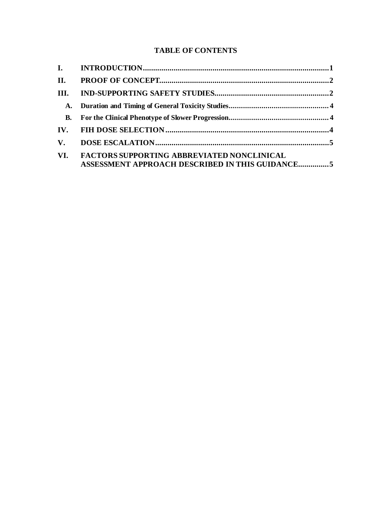# **TABLE OF CONTENTS**

| II.                    |                                                                                                      |  |
|------------------------|------------------------------------------------------------------------------------------------------|--|
| III.                   |                                                                                                      |  |
|                        |                                                                                                      |  |
| <b>B.</b>              |                                                                                                      |  |
|                        |                                                                                                      |  |
| $\mathbf{V}_{\bullet}$ |                                                                                                      |  |
| VI.                    | <b>FACTORS SUPPORTING ABBREVIATED NONCLINICAL</b><br>ASSESSMENT APPROACH DESCRIBED IN THIS GUIDANCE5 |  |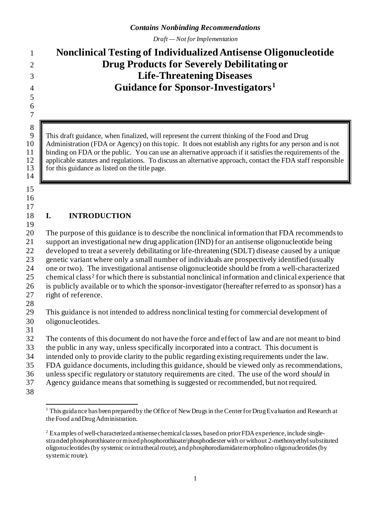*Draft — Not for Implementation*

# **Nonclinical Testing of Individualized Antisense Oligonucleotide Drug Products for Severely Debilitating or Life-Threatening Diseases Guidance for Sponsor-Investigators[1](#page-3-0)**

 

8<br>9

9 This draft guidance, when finalized, will represent the current thinking of the Food and Drug Administration (FDA or Agency) on this topic. It does not establish any rights for any person Administration (FDA or Agency) on this topic. It does not establish any rights for any person and is not binding on FDA or the public. You can use an alternative approach if it satisfies the requirements of the 12 applicable statutes and regulations. To discuss an alternative approach, contact the FDA staff responsible for this guidance as listed on the title page. for this guidance as listed on the title page.

 

# 

# **I. INTRODUCTION**

 The purpose of this guidance is to describe the nonclinical information that FDA recommends to support an investigational new drug application (IND) for an antisense oligonucleotide being developed to treat a severely debilitating or life-threatening (SDLT) disease caused by a unique genetic variant where only a small number of individuals are prospectively identified (usually one or two). The investigational antisense oligonucleotide should be from a well-characterized  $25$  chemical class<sup>2</sup> for which there is substantial nonclinical information and clinical experience that is publicly available or to which the sponsor-investigator (hereafter referred to as sponsor) has a right of reference. 

 This guidance is not intended to address nonclinical testing for commercial development of oligonucleotides.

The contents of this document do not have the force and effect of law and are not meant to bind

the public in any way, unless specifically incorporated into a contract. This document is

intended only to provide clarity to the public regarding existing requirements under the law.

FDA guidance documents, including this guidance, should be viewed only as recommendations,

unless specific regulatory or statutory requirements are cited. The use of the word *should* in

- Agency guidance means that something is suggested or recommended, but not required.
- <span id="page-3-0"></span>

<sup>&</sup>lt;sup>1</sup> This guidance has been prepared by the Office of New Drugs in the Center for Drug Evaluation and Research at the Food and Drug Administration.

<span id="page-3-1"></span><sup>&</sup>lt;sup>2</sup> Examples of well-characterized antisense chemical classes, based on prior FDA experience, include singlestranded phosphorothioate or mixed phosphorothioate/phosphodiester with or without 2-methoxyethyl substituted oligonucleotides(by systemic or intrathecal route), and phosphorodiamidate morpholino oligonucleotides (by systemic route).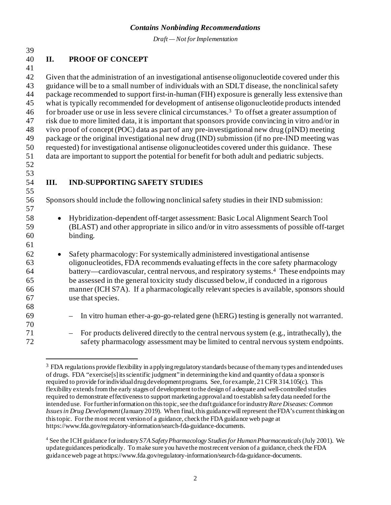*Draft — Not for Implementation*

# **II. PROOF OF CONCEPT**

 Given that the administration of an investigational antisense oligonucleotide covered under this guidance will be to a small number of individuals with an SDLT disease, the nonclinical safety package recommended to support first-in-human (FIH) exposure is generally less extensive than what is typically recommended for development of antisense oligonucleotide products intended for broader use or use in less severe clinical circumstances[.3](#page-4-0) 46 To offset a greater assumption of risk due to more limited data, it is important that sponsors provide convincing in vitro and/or in vivo proof of concept (POC) data as part of any pre-investigational new drug (pIND) meeting package or the original investigational new drug (IND) submission (if no pre-IND meeting was requested) for investigational antisense oligonucleotides covered under this guidance. These data are important to support the potential for benefit for both adult and pediatric subjects.

- 
- 
- 

# **III. IND-SUPPORTING SAFETY STUDIES**

Sponsors should include the following nonclinical safety studies in their IND submission:

- Hybridization-dependent off-target assessment: Basic Local Alignment Search Tool (BLAST) and other appropriate in silico and/or in vitro assessments of possible off-target binding.
- Safety pharmacology: For systemically administered investigational antisense oligonucleotides, FDA recommends evaluating effects in the core safety pharmacology [4](#page-4-1) battery—cardiovascular, central nervous, and respiratory systems.<sup>4</sup> These endpoints may be assessed in the general toxicity study discussed below, if conducted in a rigorous manner (ICH S7A). If a pharmacologically relevant species is available, sponsors should use that species.
- In vitro human ether-a-go-go-related gene (hERG) testing is generally not warranted.
- <span id="page-4-0"></span> – For products delivered directly to the central nervous system (e.g., intrathecally), the safety pharmacology assessment may be limited to central nervous system endpoints.

 FDA regulations provide flexibility in applying regulatory standards because of the many types and intended uses of drugs. FDA "exercise[s] its scientific judgment" in determining the kind and quantity of data a sponsor is required to provide for individual drug development programs. See, for example, 21 CFR 314.105(c). This flexibility extends from the early stages of development to the design of adequate and well-controlled studies required to demonstrate effectiveness to support marketing approval and to establish safety data needed for the intended use. For further information on this topic, see the draft guidance for industry *Rare Diseases: Common Issues in Drug Development*(January 2019). When final, this guidance will represent the FDA's current thinking on this topic. For the most recent version of a guidance, check the FDA guidance web page at <https://www.fda.gov/regulatory-information/search-fda-guidance-documents>.

<span id="page-4-1"></span> See the ICH guidance for industry *S7A Safety Pharmacology Studies for Human Pharmaceuticals*(July 2001). We update guidances periodically. To make sure you have the most recent version of a guidance, check the FDA guidance web page a[t https://www.fda.gov/regulatory-information/search-fda-guidance-documents](https://www.fda.gov/regulatory-information/search-fda-guidance-documents).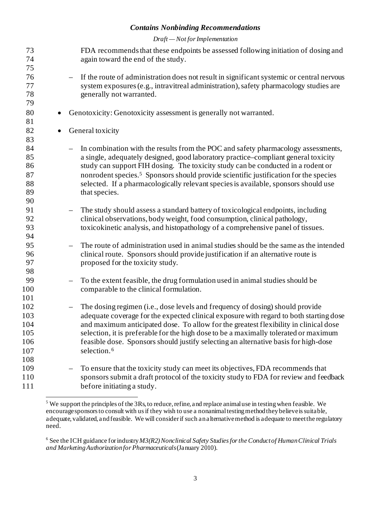### *Draft — Not for Implementation*

| 73<br>74<br>75 |           | FDA recommends that these endpoints be assessed following initiation of dosing and<br>again toward the end of the study. |
|----------------|-----------|--------------------------------------------------------------------------------------------------------------------------|
| 76             |           | If the route of administration does not result in significant systemic or central nervous<br>$\overline{\phantom{0}}$    |
| 77             |           | system exposures (e.g., intravitreal administration), safety pharmacology studies are                                    |
| 78<br>79       |           | generally not warranted.                                                                                                 |
| 80             | $\bullet$ | Genotoxicity: Genotoxicity assessment is generally not warranted.                                                        |
| 81             |           |                                                                                                                          |
| 82             | $\bullet$ | General toxicity                                                                                                         |
| 83             |           |                                                                                                                          |
| 84             |           | In combination with the results from the POC and safety pharmacology assessments,                                        |
| 85             |           | a single, adequately designed, good laboratory practice-compliant general toxicity                                       |
| 86             |           | study can support FIH dosing. The toxicity study can be conducted in a rodent or                                         |
| 87             |           | nonrodent species. <sup>5</sup> Sponsors should provide scientific justification for the species                         |
| 88             |           | selected. If a pharmacologically relevant species is available, sponsors should use                                      |
| 89             |           | that species.                                                                                                            |
| 90             |           |                                                                                                                          |
| 91             |           | The study should assess a standard battery of toxicological endpoints, including<br>$\overline{\phantom{0}}$             |
| 92             |           | clinical observations, body weight, food consumption, clinical pathology,                                                |
| 93             |           | toxicokinetic analysis, and histopathology of a comprehensive panel of tissues.                                          |
| 94             |           |                                                                                                                          |
| 95             |           | The route of administration used in animal studies should be the same as the intended<br>$\overline{\phantom{m}}$        |
| 96             |           | clinical route. Sponsors should provide justification if an alternative route is                                         |
| 97             |           | proposed for the toxicity study.                                                                                         |
| 98             |           |                                                                                                                          |
| 99             |           | To the extent feasible, the drug formulation used in animal studies should be                                            |
| 100            |           | comparable to the clinical formulation.                                                                                  |
| 101            |           |                                                                                                                          |
| 102            |           | The dosing regimen (i.e., dose levels and frequency of dosing) should provide<br>$\overline{\phantom{m}}$                |
| 103            |           | adequate coverage for the expected clinical exposure with regard to both starting dose                                   |
| 104            |           | and maximum anticipated dose. To allow for the greatest flexibility in clinical dose                                     |
| 105            |           | selection, it is preferable for the high dose to be a maximally tolerated or maximum                                     |
| 106            |           | feasible dose. Sponsors should justify selecting an alternative basis for high-dose                                      |
| 107            |           | selection. <sup>6</sup>                                                                                                  |
| 108            |           |                                                                                                                          |
| 109            |           | To ensure that the toxicity study can meet its objectives, FDA recommends that                                           |
| 110            |           | sponsors submit a draft protocol of the toxicity study to FDA for review and feedback                                    |
| 111            |           | before initiating a study.                                                                                               |

<span id="page-5-0"></span> We support the principles of the 3Rs, to reduce, refine, and replace animal use in testing when feasible. We encourage sponsors to consult with us if they wish to use a nonanimal testing method they believe is suitable, adequate, validated, and feasible. We will consider if such an alternative method is adequate to meet the regulatory need.

<span id="page-5-1"></span><sup>&</sup>lt;sup>6</sup> See the ICH guidance for industry  $M3(R2)$  Nonclinical Safety Studies for the Conduct of Human Clinical Trials *and Marketing Authorization for Pharmaceuticals* (January 2010).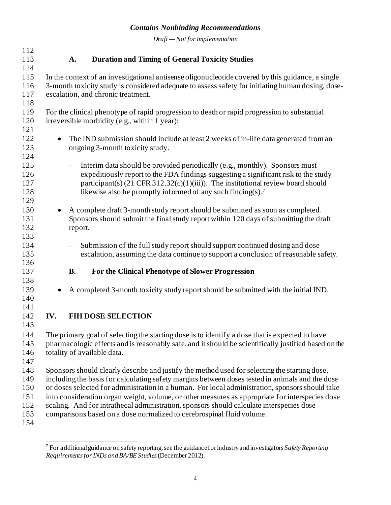*Draft — Not for Implementation*

| 112        |                                                                                                   |                                                                                                      |                                                                                                |  |  |  |  |  |
|------------|---------------------------------------------------------------------------------------------------|------------------------------------------------------------------------------------------------------|------------------------------------------------------------------------------------------------|--|--|--|--|--|
| 113        |                                                                                                   | A.                                                                                                   | <b>Duration and Timing of General Toxicity Studies</b>                                         |  |  |  |  |  |
| 114        |                                                                                                   |                                                                                                      |                                                                                                |  |  |  |  |  |
| 115        | In the context of an investigational antisense oligonucleotide covered by this guidance, a single |                                                                                                      |                                                                                                |  |  |  |  |  |
| 116        |                                                                                                   | 3-month toxicity study is considered adequate to assess safety for initiating human dosing, dose-    |                                                                                                |  |  |  |  |  |
| 117        |                                                                                                   | escalation, and chronic treatment.                                                                   |                                                                                                |  |  |  |  |  |
| 118        |                                                                                                   |                                                                                                      |                                                                                                |  |  |  |  |  |
| 119        |                                                                                                   |                                                                                                      | For the clinical phenotype of rapid progression to death or rapid progression to substantial   |  |  |  |  |  |
| 120        |                                                                                                   | irreversible morbidity (e.g., within 1 year):                                                        |                                                                                                |  |  |  |  |  |
| 121        |                                                                                                   |                                                                                                      |                                                                                                |  |  |  |  |  |
| 122        | $\bullet$                                                                                         |                                                                                                      | The IND submission should include at least 2 weeks of in-life data generated from an           |  |  |  |  |  |
| 123        |                                                                                                   |                                                                                                      | ongoing 3-month toxicity study.                                                                |  |  |  |  |  |
| 124        |                                                                                                   |                                                                                                      |                                                                                                |  |  |  |  |  |
| 125        |                                                                                                   |                                                                                                      |                                                                                                |  |  |  |  |  |
|            |                                                                                                   |                                                                                                      | Interim data should be provided periodically (e.g., monthly). Sponsors must                    |  |  |  |  |  |
| 126<br>127 |                                                                                                   |                                                                                                      | expeditiously report to the FDA findings suggesting a significant risk to the study            |  |  |  |  |  |
|            |                                                                                                   |                                                                                                      | participant(s) $(21 \text{ CFR } 312.32(c)(1)(iii))$ . The institutional review board should   |  |  |  |  |  |
| 128        |                                                                                                   |                                                                                                      | likewise also be promptly informed of any such finding(s). <sup>7</sup>                        |  |  |  |  |  |
| 129        |                                                                                                   |                                                                                                      |                                                                                                |  |  |  |  |  |
| 130        |                                                                                                   |                                                                                                      | A complete draft 3-month study report should be submitted as soon as completed.                |  |  |  |  |  |
| 131        |                                                                                                   |                                                                                                      | Sponsors should submit the final study report within 120 days of submitting the draft          |  |  |  |  |  |
| 132        |                                                                                                   | report.                                                                                              |                                                                                                |  |  |  |  |  |
| 133        |                                                                                                   |                                                                                                      |                                                                                                |  |  |  |  |  |
| 134        |                                                                                                   |                                                                                                      | Submission of the full study report should support continued dosing and dose                   |  |  |  |  |  |
| 135        |                                                                                                   |                                                                                                      | escalation, assuming the data continue to support a conclusion of reasonable safety.           |  |  |  |  |  |
| 136        |                                                                                                   |                                                                                                      |                                                                                                |  |  |  |  |  |
| 137        |                                                                                                   | <b>B.</b>                                                                                            | For the Clinical Phenotype of Slower Progression                                               |  |  |  |  |  |
| 138        |                                                                                                   |                                                                                                      |                                                                                                |  |  |  |  |  |
| 139        |                                                                                                   |                                                                                                      | A completed 3-month toxicity study report should be submitted with the initial IND.            |  |  |  |  |  |
| 140        |                                                                                                   |                                                                                                      |                                                                                                |  |  |  |  |  |
| 141        |                                                                                                   |                                                                                                      |                                                                                                |  |  |  |  |  |
| 142        | IV.                                                                                               |                                                                                                      | <b>FIH DOSE SELECTION</b>                                                                      |  |  |  |  |  |
| 143        |                                                                                                   |                                                                                                      |                                                                                                |  |  |  |  |  |
| 144        |                                                                                                   |                                                                                                      | The primary goal of selecting the starting dose is to identify a dose that is expected to have |  |  |  |  |  |
| 145        |                                                                                                   | pharmacologic effects and is reasonably safe, and it should be scientifically justified based on the |                                                                                                |  |  |  |  |  |
| 146        | totality of available data.                                                                       |                                                                                                      |                                                                                                |  |  |  |  |  |
| 147        |                                                                                                   |                                                                                                      |                                                                                                |  |  |  |  |  |
| 148        | Sponsors should clearly describe and justify the method used for selecting the starting dose,     |                                                                                                      |                                                                                                |  |  |  |  |  |
| 149        |                                                                                                   | including the basis for calculating safety margins between doses tested in animals and the dose      |                                                                                                |  |  |  |  |  |
| 150        | or doses selected for administration in a human. For local administration, sponsors should take   |                                                                                                      |                                                                                                |  |  |  |  |  |
| 151        | into consideration organ weight, volume, or other measures as appropriate for interspecies dose   |                                                                                                      |                                                                                                |  |  |  |  |  |
| 152        | scaling. And for intrathecal administration, sponsors should calculate interspecies dose          |                                                                                                      |                                                                                                |  |  |  |  |  |
| 153        |                                                                                                   |                                                                                                      | comparisons based on a dose normalized to cerebrospinal fluid volume.                          |  |  |  |  |  |
| 154        |                                                                                                   |                                                                                                      |                                                                                                |  |  |  |  |  |
|            |                                                                                                   |                                                                                                      |                                                                                                |  |  |  |  |  |

<span id="page-6-0"></span> For additional guidance on safety reporting, see the guidance for industry and investigators *Safety Reporting Requirements for INDs and BA/BE Studies*(December 2012).